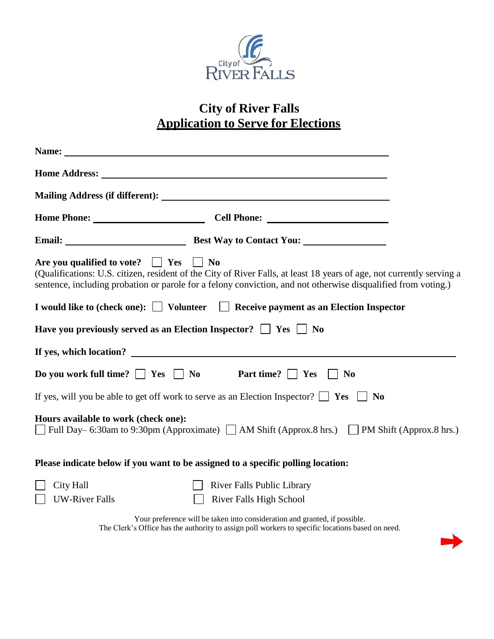

## **City of River Falls Application to Serve for Elections**

| Home Address: No. 1996. The Second Second Second Second Second Second Second Second Second Second Second Second Second Second Second Second Second Second Second Second Second Second Second Second Second Second Second Secon                                                            |
|-------------------------------------------------------------------------------------------------------------------------------------------------------------------------------------------------------------------------------------------------------------------------------------------|
|                                                                                                                                                                                                                                                                                           |
| Home Phone: Cell Phone: Cell Phone:                                                                                                                                                                                                                                                       |
| Email: Best Way to Contact You:                                                                                                                                                                                                                                                           |
| Are you qualified to vote? $\Box$ Yes $\Box$ No<br>(Qualifications: U.S. citizen, resident of the City of River Falls, at least 18 years of age, not currently serving a<br>sentence, including probation or parole for a felony conviction, and not otherwise disqualified from voting.) |
| I would like to (check one): $\Box$ Volunteer $\Box$ Receive payment as an Election Inspector                                                                                                                                                                                             |
| Have you previously served as an Election Inspector? $\Box$ Yes $\Box$ No                                                                                                                                                                                                                 |
| If yes, which location?                                                                                                                                                                                                                                                                   |
| Do you work full time? $\Box$ Yes $\Box$ No<br>Part time?     Yes<br>$\overline{\phantom{a}}$ No                                                                                                                                                                                          |
| If yes, will you be able to get off work to serve as an Election Inspector? $\Box$ Yes $\Box$ No                                                                                                                                                                                          |
| Hours available to work (check one):<br>Full Day– 6:30am to 9:30pm (Approximate) $\Box$ AM Shift (Approx.8 hrs.) $\Box$ PM Shift (Approx.8 hrs.)                                                                                                                                          |
| Please indicate below if you want to be assigned to a specific polling location:                                                                                                                                                                                                          |
| City Hall<br><b>River Falls Public Library</b><br><b>UW-River Falls</b><br>River Falls High School                                                                                                                                                                                        |

Your preference will be taken into consideration and granted, if possible. The Clerk's Office has the authority to assign poll workers to specific locations based on need.